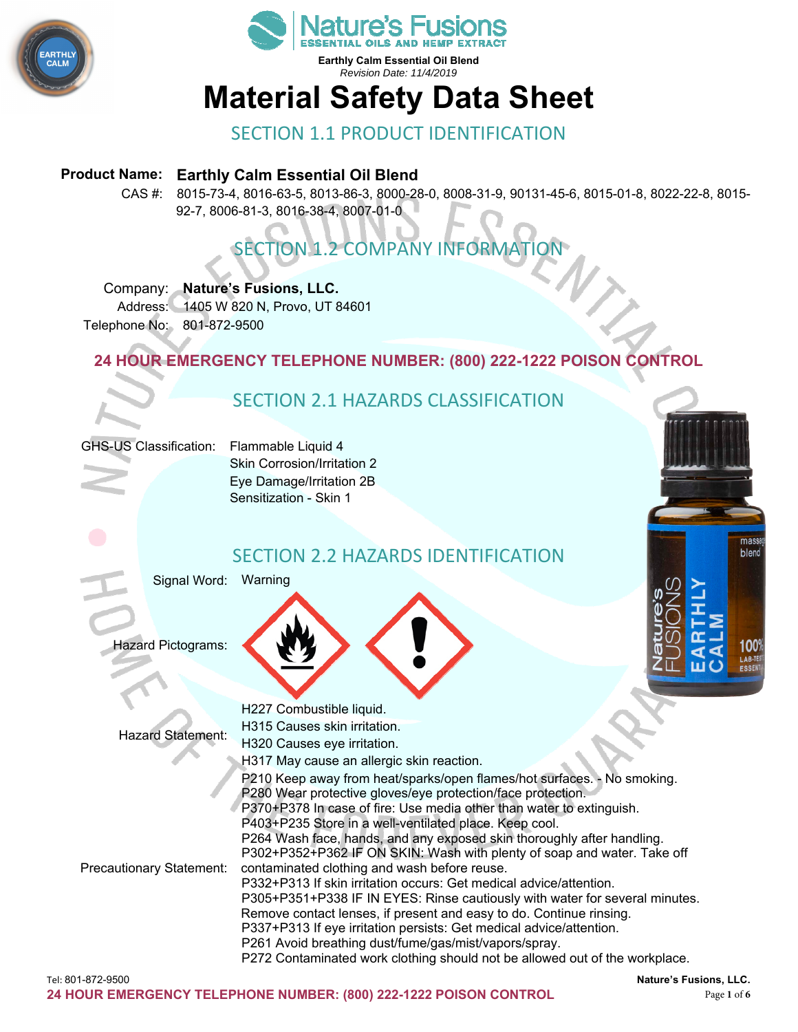



**Earthly Calm Essential Oil Blend**  *Revision Date: 11/4/2019* 

# **Material Safety Data Sheet**

### SECTION 1.1 PRODUCT IDENTIFICATION

#### **Product Name: Earthly Calm Essential Oil Blend**

CAS #: 8015-73-4, 8016-63-5, 8013-86-3, 8000-28-0, 8008-31-9, 90131-45-6, 8015-01-8, 8022-22-8, 8015- 92-7, 8006-81-3, 8016-38-4, 8007-01-0

# **SECTION 1.2 COMPANY INFORMAT**

#### Company: **Nature's Fusions, LLC.**

Address: 1405 W 820 N, Provo, UT 84601 Telephone No: 801-872-9500

#### **24 HOUR EMERGENCY TELEPHONE NUMBER: (800) 222-1222 POISON CONTROL**

# SECTION 2.1 HAZARDS CLASSIFICATION



Skin Corrosion/Irritation 2 Eye Damage/Irritation 2B Sensitization - Skin 1

#### SECTION 2.2 HAZARDS IDENTIFICATION

Signal Word: Warning

Hazard Pictograms:





Tel: 801-872-9500 **Nature's Fusions, LLC.** Hazard Statement: H227 Combustible liquid. H315 Causes skin irritation. H320 Causes eye irritation. H317 May cause an allergic skin reaction. Precautionary Statement: P210 Keep away from heat/sparks/open flames/hot surfaces. - No smoking. P280 Wear protective gloves/eye protection/face protection. P370+P378 In case of fire: Use media other than water to extinguish. P403+P235 Store in a well-ventilated place. Keep cool. P264 Wash face, hands, and any exposed skin thoroughly after handling. P302+P352+P362 IF ON SKIN: Wash with plenty of soap and water. Take off contaminated clothing and wash before reuse. P332+P313 If skin irritation occurs: Get medical advice/attention. P305+P351+P338 IF IN EYES: Rinse cautiously with water for several minutes. Remove contact lenses, if present and easy to do. Continue rinsing. P337+P313 If eye irritation persists: Get medical advice/attention. P261 Avoid breathing dust/fume/gas/mist/vapors/spray. P272 Contaminated work clothing should not be allowed out of the workplace.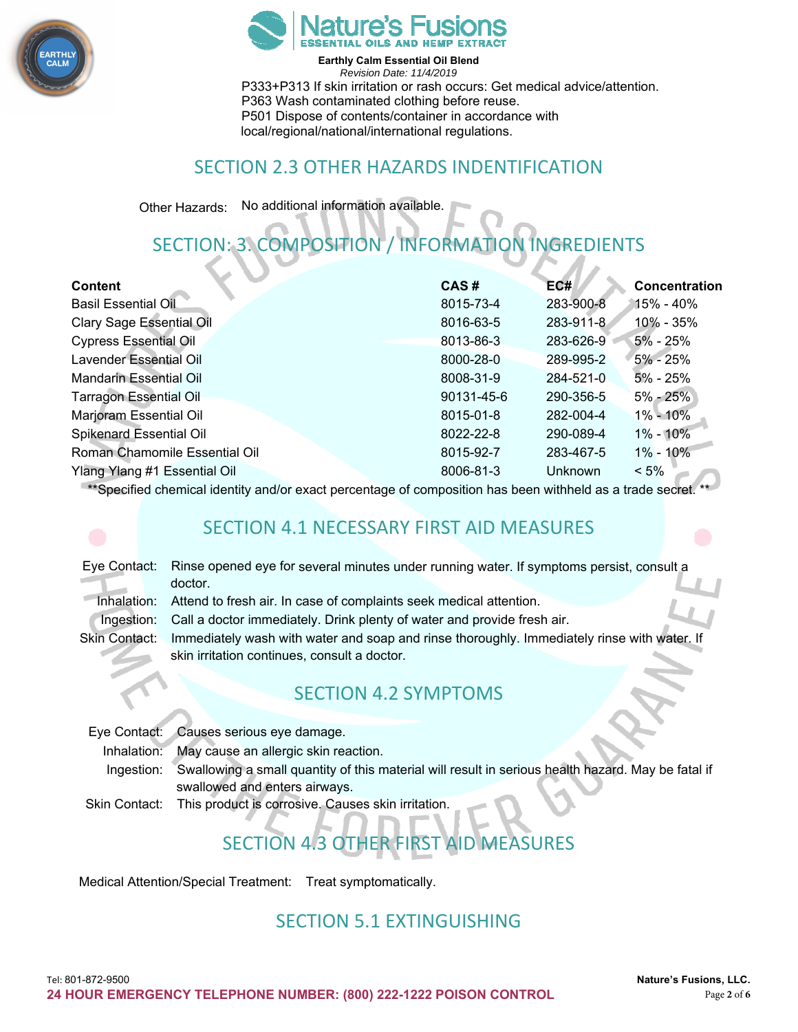



**Earthly Calm Essential Oil Blend**  *Revision Date: 11/4/2019*  P333+P313 If skin irritation or rash occurs: Get medical advice/attention. P363 Wash contaminated clothing before reuse. P501 Dispose of contents/container in accordance with local/regional/national/international regulations.

#### SECTION 2.3 OTHER HAZARDS INDENTIFICATION

Other Hazards: No additional information available.

# SECTION: 3. COMPOSITION / INFORMATION INGREDIENTS

| <b>Content</b>                  | CAS#       | EC#       | Concentration |
|---------------------------------|------------|-----------|---------------|
| <b>Basil Essential Oil</b>      | 8015-73-4  | 283-900-8 | 15% - 40%     |
| <b>Clary Sage Essential Oil</b> | 8016-63-5  | 283-911-8 | 10% - 35%     |
| <b>Cypress Essential Oil</b>    | 8013-86-3  | 283-626-9 | 5% - 25%      |
| Lavender Essential Oil          | 8000-28-0  | 289-995-2 | $5\% - 25\%$  |
| <b>Mandarin Essential Oil</b>   | 8008-31-9  | 284-521-0 | $5\% - 25\%$  |
| <b>Tarragon Essential Oil</b>   | 90131-45-6 | 290-356-5 | $5\% - 25\%$  |
| Marjoram Essential Oil          | 8015-01-8  | 282-004-4 | $1\% - 10\%$  |
| <b>Spikenard Essential Oil</b>  | 8022-22-8  | 290-089-4 | $1\% - 10\%$  |
| Roman Chamomile Essential Oil   | 8015-92-7  | 283-467-5 | $1\% - 10\%$  |
| Ylang Ylang #1 Essential Oil    | 8006-81-3  | Unknown   | $< 5\%$       |
|                                 |            |           |               |

\*\*Specified chemical identity and/or exact percentage of composition has been withheld as a trade secret. \*\*

#### SECTION 4.1 NECESSARY FIRST AID MEASURES

| Eye Contact: Rinse opened eye for several minutes under running water. If symptoms persist, consult a<br>doctor.    |  |  |
|---------------------------------------------------------------------------------------------------------------------|--|--|
| Inhalation: Attend to fresh air. In case of complaints seek medical attention.                                      |  |  |
| Ingestion: Call a doctor immediately. Drink plenty of water and provide fresh air.                                  |  |  |
| Immediately wash with water and soap and rinse thoroughly. Immediately rinse with water. If<br><b>Skin Contact:</b> |  |  |
| skin irritation continues, consult a doctor.                                                                        |  |  |
|                                                                                                                     |  |  |

### SECTION 4.2 SYMPTOMS

Eye Contact: Causes serious eye damage. Inhalation: May cause an allergic skin reaction. Ingestion: Swallowing a small quantity of this material will result in serious health hazard. May be fatal if swallowed and enters airways. Skin Contact: This product is corrosive. Causes skin irritation.

# SECTION 4.3 OTHER FIRST AID MEASURES

Medical Attention/Special Treatment: Treat symptomatically.

#### SECTION 5.1 EXTINGUISHING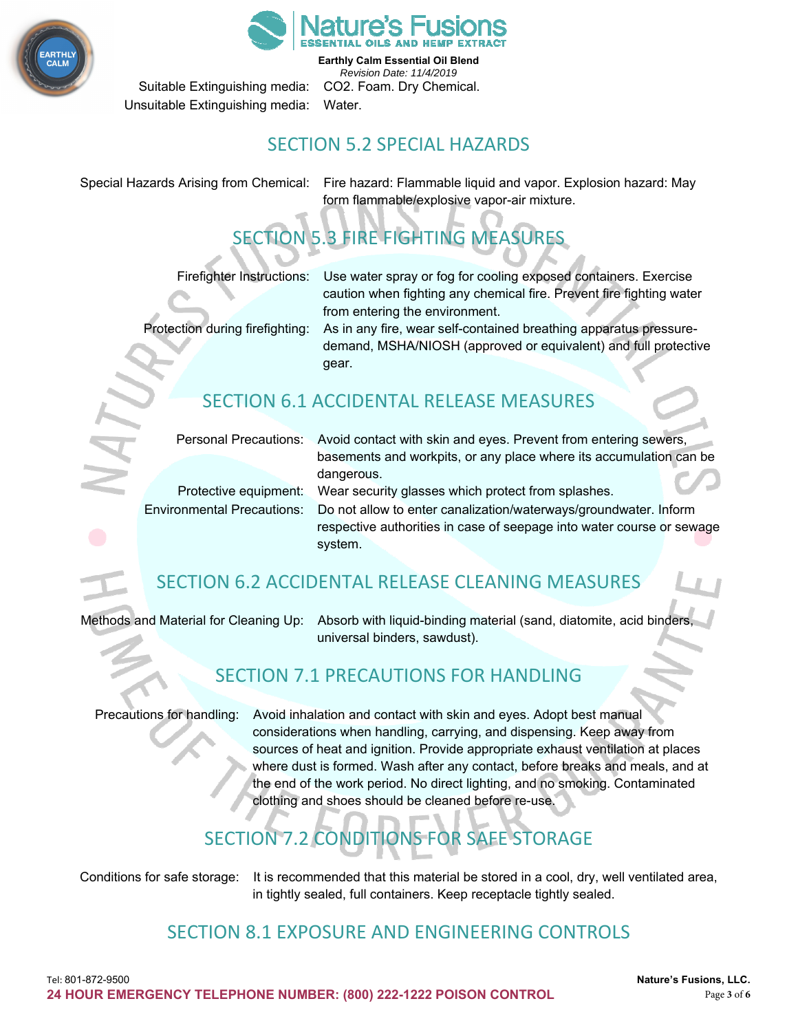



**Earthly Calm Essential Oil Blend**  *Revision Date: 11/4/2019*  Suitable Extinguishing media: CO2. Foam. Dry Chemical.

Unsuitable Extinguishing media: Water.

### SECTION 5.2 SPECIAL HAZARDS

Special Hazards Arising from Chemical: Fire hazard: Flammable liquid and vapor. Explosion hazard: May form flammable/explosive vapor-air mixture.

# SECTION 5.3 FIRE FIGHTING MEASURES

Firefighter Instructions: Use water spray or fog for cooling exposed containers. Exercise caution when fighting any chemical fire. Prevent fire fighting water from entering the environment.

Protection during firefighting: As in any fire, wear self-contained breathing apparatus pressuredemand, MSHA/NIOSH (approved or equivalent) and full protective gear.

# SECTION 6.1 ACCIDENTAL RELEASE MEASURES

Personal Precautions: Avoid contact with skin and eyes. Prevent from entering sewers, basements and workpits, or any place where its accumulation can be dangerous.

Protective equipment: Wear security glasses which protect from splashes. Environmental Precautions: Do not allow to enter canalization/waterways/groundwater. Inform

respective authorities in case of seepage into water course or sewage system.

# SECTION 6.2 ACCIDENTAL RELEASE CLEANING MEASURES

Methods and Material for Cleaning Up: Absorb with liquid-binding material (sand, diatomite, acid binders, universal binders, sawdust).

# SECTION 7.1 PRECAUTIONS FOR HANDLING

Precautions for handling: Avoid inhalation and contact with skin and eyes. Adopt best manual considerations when handling, carrying, and dispensing. Keep away from sources of heat and ignition. Provide appropriate exhaust ventilation at places where dust is formed. Wash after any contact, before breaks and meals, and at the end of the work period. No direct lighting, and no smoking. Contaminated clothing and shoes should be cleaned before re-use.

# SECTION 7.2 CONDITIONS FOR SAFE STORAGE

Conditions for safe storage: It is recommended that this material be stored in a cool, dry, well ventilated area, in tightly sealed, full containers. Keep receptacle tightly sealed.

# SECTION 8.1 EXPOSURE AND ENGINEERING CONTROLS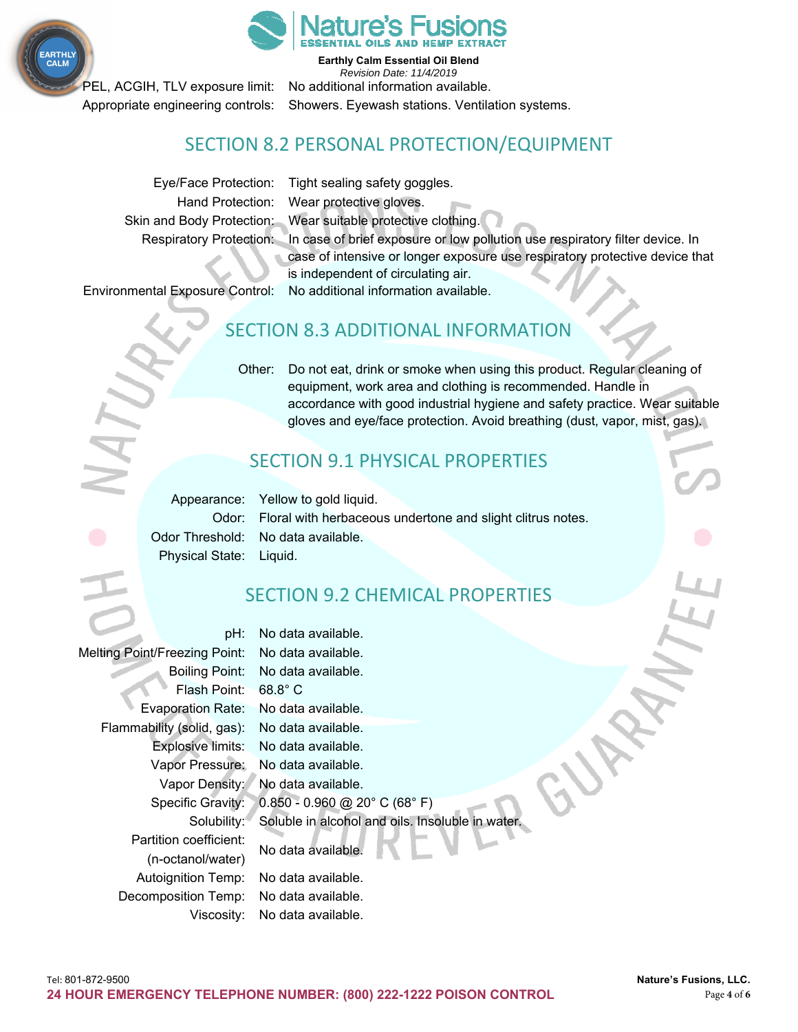



**Earthly Calm Essential Oil Blend** 

*Revision Date: 11/4/2019*  PEL, ACGIH, TLV exposure limit: No additional information available. Appropriate engineering controls: Showers. Eyewash stations. Ventilation systems.

#### SECTION 8.2 PERSONAL PROTECTION/EQUIPMENT

Eye/Face Protection: Tight sealing safety goggles. Hand Protection: Wear protective gloves. Skin and Body Protection: Wear suitable protective clothing. Respiratory Protection: In case of brief exposure or low pollution use respiratory filter device. In case of intensive or longer exposure use respiratory protective device that is independent of circulating air. Environmental Exposure Control: No additional information available.

# SECTION 8.3 ADDITIONAL INFORMATION

Other: Do not eat, drink or smoke when using this product. Regular cleaning of equipment, work area and clothing is recommended. Handle in accordance with good industrial hygiene and safety practice. Wear suitable gloves and eye/face protection. Avoid breathing (dust, vapor, mist, gas).

# SECTION 9.1 PHYSICAL PROPERTIES

Appearance: Yellow to gold liquid. Odor: Floral with herbaceous undertone and slight clitrus notes. Odor Threshold: No data available. Physical State: Liquid.

# SECTION 9.2 CHEMICAL PROPERTIES

pH: No data available. Melting Point/Freezing Point: No data available. Boiling Point: No data available. Flash Point: 68.8° C Evaporation Rate: No data available. Flammability (solid, gas): No data available. Explosive limits: No data available. Vapor Pressure: No data available. Vapor Density: No data available. Specific Gravity: 0.850 - 0.960 @ 20° C (68° F) Solubility: Soluble in alcohol and oils. Insoluble in water. Partition coefficient: No data available. (n-octanol/water) Autoignition Temp: No data available. Decomposition Temp: No data available. Viscosity: No data available.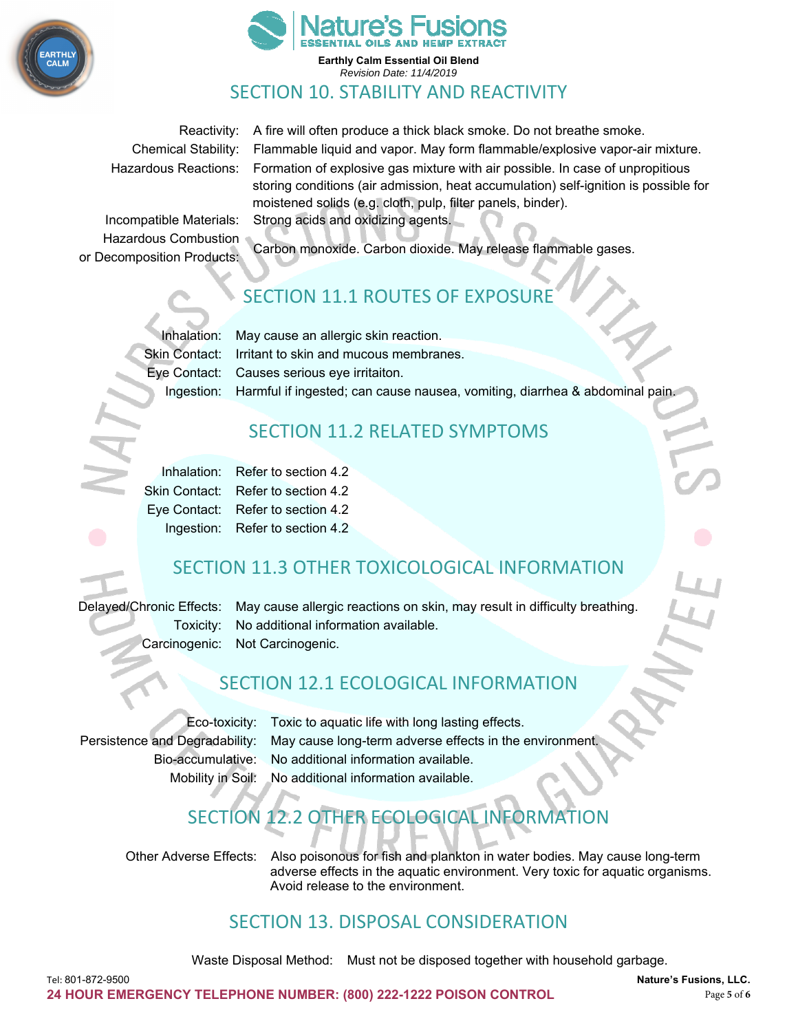



Reactivity: A fire will often produce a thick black smoke. Do not breathe smoke. Chemical Stability: Flammable liquid and vapor. May form flammable/explosive vapor-air mixture. Hazardous Reactions: Formation of explosive gas mixture with air possible. In case of unpropitious storing conditions (air admission, heat accumulation) self-ignition is possible for moistened solids (e.g. cloth, pulp, filter panels, binder). Incompatible Materials: Strong acids and oxidizing agents.

Hazardous Combustion

Carbon monoxide. Carbon dioxide. May release flammable gases. or Decomposition Products:

# SECTION 11.1 ROUTES OF EXPOSURE

Inhalation: May cause an allergic skin reaction. Skin Contact: Irritant to skin and mucous membranes. Eye Contact: Causes serious eye irritaiton. Ingestion: Harmful if ingested; can cause nausea, vomiting, diarrhea & abdominal pain.

# SECTION 11.2 RELATED SYMPTOMS

|  | Inhalation: Refer to section 4.2   |
|--|------------------------------------|
|  | Skin Contact: Refer to section 4.2 |
|  | Eye Contact: Refer to section 4.2  |
|  | Ingestion: Refer to section 4.2    |

# SECTION 11.3 OTHER TOXICOLOGICAL INFORMATION

Delayed/Chronic Effects: May cause allergic reactions on skin, may result in difficulty breathing. Toxicity: No additional information available. Carcinogenic: Not Carcinogenic.

# SECTION 12.1 ECOLOGICAL INFORMATION

Eco-toxicity: Toxic to aquatic life with long lasting effects. Persistence and Degradability: May cause long-term adverse effects in the environment. Bio-accumulative: No additional information available. Mobility in Soil: No additional information available.

# SECTION 12.2 OTHER ECOLOGICAL INFORMA

Other Adverse Effects: Also poisonous for fish and plankton in water bodies. May cause long-term adverse effects in the aquatic environment. Very toxic for aquatic organisms. Avoid release to the environment.

#### SECTION 13. DISPOSAL CONSIDERATION

Waste Disposal Method: Must not be disposed together with household garbage.